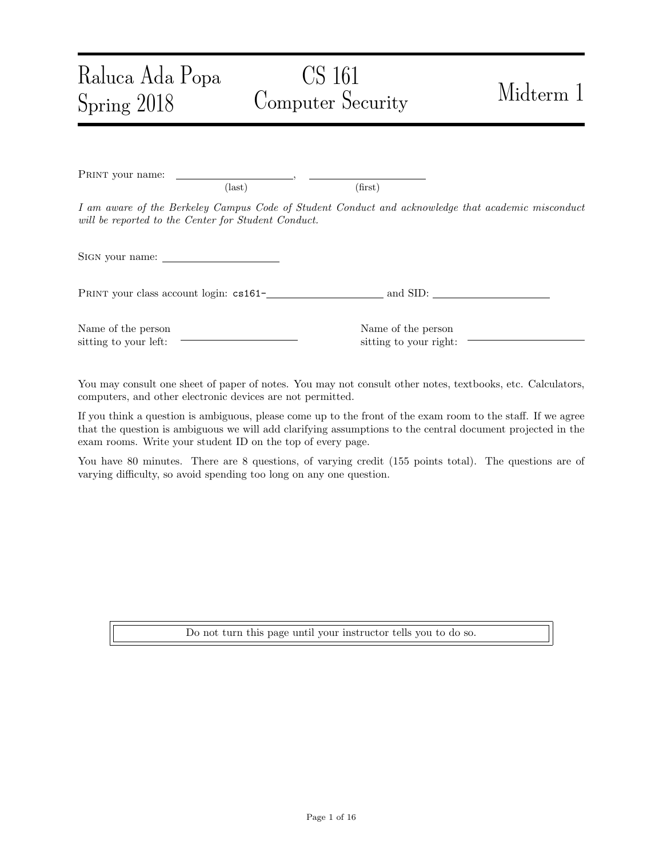# CS 161 Computer Security Midterm 1

PRINT your name:  $\text{(last)}\tag{first}$ I am aware of the Berkeley Campus Code of Student Conduct and acknowledge that academic misconduct will be reported to the Center for Student Conduct. Sign your name: PRINT your class account login:  $cs161$ - and SID:

Name of the person sitting to your left:

Raluca Ada Popa

Spring 2018

Name of the person sitting to your right:

You may consult one sheet of paper of notes. You may not consult other notes, textbooks, etc. Calculators, computers, and other electronic devices are not permitted.

If you think a question is ambiguous, please come up to the front of the exam room to the staff. If we agree that the question is ambiguous we will add clarifying assumptions to the central document projected in the exam rooms. Write your student ID on the top of every page.

You have 80 minutes. There are 8 questions, of varying credit (155 points total). The questions are of varying difficulty, so avoid spending too long on any one question.

Do not turn this page until your instructor tells you to do so.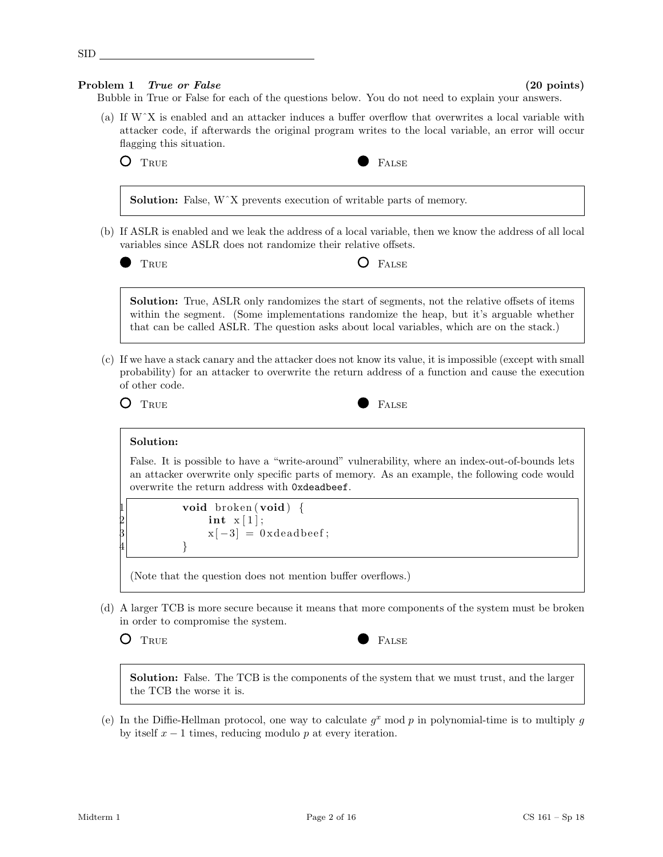# Problem 1 True or False (20 points)

SID

Bubble in True or False for each of the questions below. You do not need to explain your answers.

(a) If WˆX is enabled and an attacker induces a buffer overflow that overwrites a local variable with attacker code, if afterwards the original program writes to the local variable, an error will occur flagging this situation.

O TRUE **FALSE** 



Solution: False, W<sup> $\chi$ </sup> prevents execution of writable parts of memory. (b) If ASLR is enabled and we leak the address of a local variable, then we know the address of all local variables since ASLR does not randomize their relative offsets. TRUE **O** FALSE Solution: True, ASLR only randomizes the start of segments, not the relative offsets of items within the segment. (Some implementations randomize the heap, but it's arguable whether that can be called ASLR. The question asks about local variables, which are on the stack.) (c) If we have a stack canary and the attacker does not know its value, it is impossible (except with small probability) for an attacker to overwrite the return address of a function and cause the execution of other code. O TRUE **FALSE** Solution: False. It is possible to have a "write-around" vulnerability, where an index-out-of-bounds lets an attacker overwrite only specific parts of memory. As an example, the following code would overwrite the return address with 0xdeadbeef. void broken (void) { int  $x [1]$ ;  $x[-3] = 0$  xdeadbeef;  $|4$  } (Note that the question does not mention buffer overflows.)

- (d) A larger TCB is more secure because it means that more components of the system must be broken in order to compromise the system.
	-



Solution: False. The TCB is the components of the system that we must trust, and the larger the TCB the worse it is.

(e) In the Diffie-Hellman protocol, one way to calculate  $g^x$  mod p in polynomial-time is to multiply g by itself  $x - 1$  times, reducing modulo p at every iteration.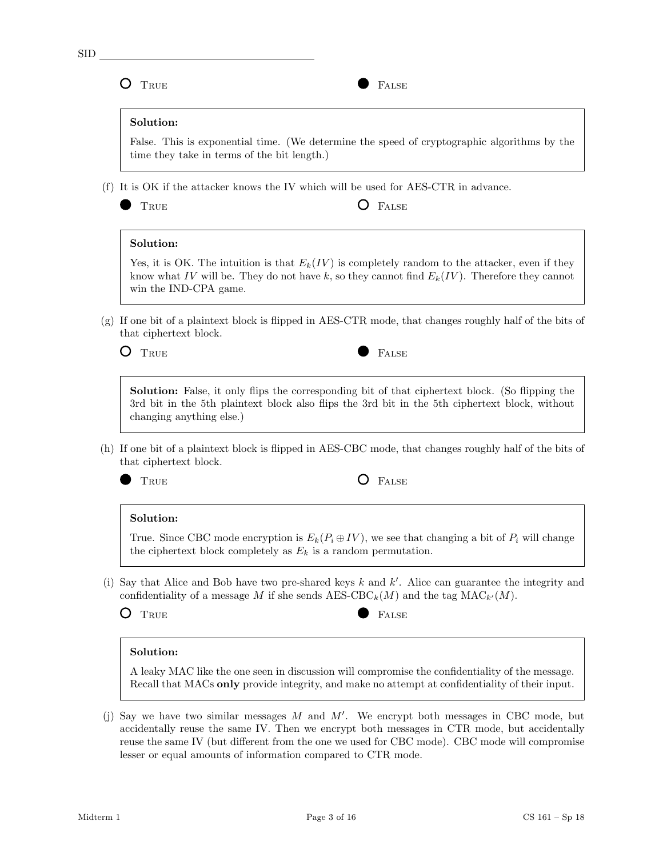O TRUE PALSE

# Solution:

False. This is exponential time. (We determine the speed of cryptographic algorithms by the time they take in terms of the bit length.)

(f) It is OK if the attacker knows the IV which will be used for AES-CTR in advance.

 $\Gamma$  False

# Solution:

Yes, it is OK. The intuition is that  $E_k(IV)$  is completely random to the attacker, even if they know what IV will be. They do not have k, so they cannot find  $E_k(IV)$ . Therefore they cannot win the IND-CPA game.

(g) If one bit of a plaintext block is flipped in AES-CTR mode, that changes roughly half of the bits of that ciphertext block.

 $\bigcirc$  True

| v<br>. . |
|----------|

Solution: False, it only flips the corresponding bit of that ciphertext block. (So flipping the 3rd bit in the 5th plaintext block also flips the 3rd bit in the 5th ciphertext block, without changing anything else.)

- (h) If one bit of a plaintext block is flipped in AES-CBC mode, that changes roughly half of the bits of that ciphertext block.
	-

TRUE **O** FALSE

# Solution:

True. Since CBC mode encryption is  $E_k(P_i \oplus IV)$ , we see that changing a bit of  $P_i$  will change the ciphertext block completely as  $E_k$  is a random permutation.

(i) Say that Alice and Bob have two pre-shared keys  $k$  and  $k'$ . Alice can guarantee the integrity and confidentiality of a message M if she sends  $AES-CBC_k(M)$  and the tag  $MAC_{k'}(M)$ .

O TRUE **FALSE** 

# Solution:

A leaky MAC like the one seen in discussion will compromise the confidentiality of the message. Recall that MACs only provide integrity, and make no attempt at confidentiality of their input.

(j) Say we have two similar messages  $M$  and  $M'$ . We encrypt both messages in CBC mode, but accidentally reuse the same IV. Then we encrypt both messages in CTR mode, but accidentally reuse the same IV (but different from the one we used for CBC mode). CBC mode will compromise lesser or equal amounts of information compared to CTR mode.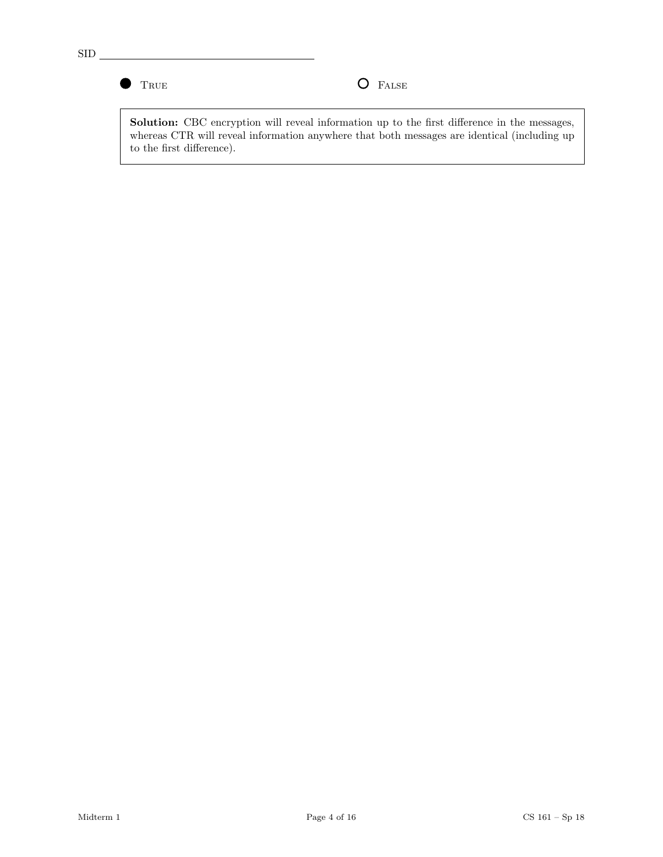$\bullet$ 

TRUE **O** FALSE

Solution: CBC encryption will reveal information up to the first difference in the messages, whereas CTR will reveal information anywhere that both messages are identical (including up to the first difference).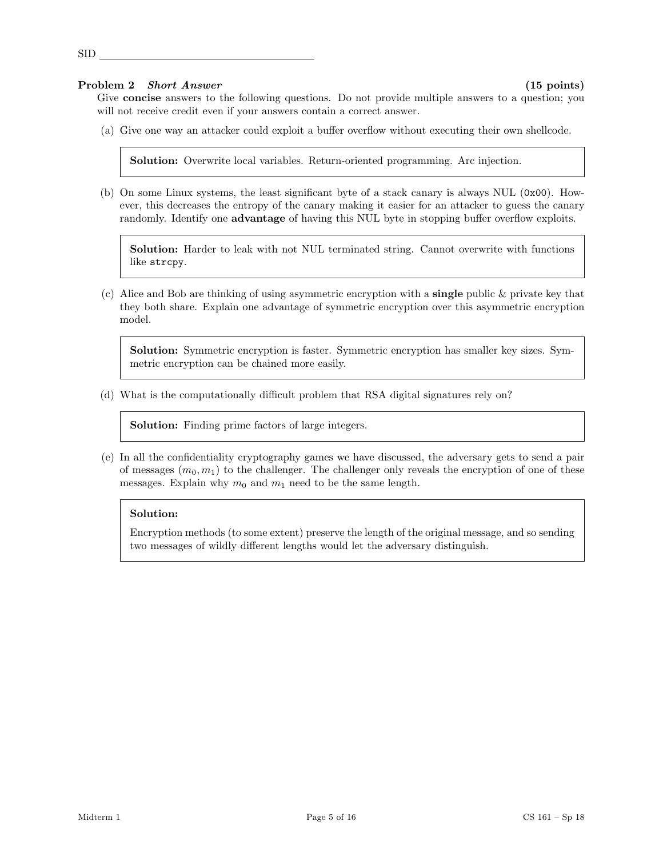### Problem 2 Short Answer (15 points)

Give **concise** answers to the following questions. Do not provide multiple answers to a question; you will not receive credit even if your answers contain a correct answer.

(a) Give one way an attacker could exploit a buffer overflow without executing their own shellcode.

Solution: Overwrite local variables. Return-oriented programming. Arc injection.

(b) On some Linux systems, the least significant byte of a stack canary is always NUL (0x00). However, this decreases the entropy of the canary making it easier for an attacker to guess the canary randomly. Identify one advantage of having this NUL byte in stopping buffer overflow exploits.

Solution: Harder to leak with not NUL terminated string. Cannot overwrite with functions like strcpy.

(c) Alice and Bob are thinking of using asymmetric encryption with a **single** public  $\&$  private key that they both share. Explain one advantage of symmetric encryption over this asymmetric encryption model.

Solution: Symmetric encryption is faster. Symmetric encryption has smaller key sizes. Symmetric encryption can be chained more easily.

(d) What is the computationally difficult problem that RSA digital signatures rely on?

Solution: Finding prime factors of large integers.

(e) In all the confidentiality cryptography games we have discussed, the adversary gets to send a pair of messages  $(m_0, m_1)$  to the challenger. The challenger only reveals the encryption of one of these messages. Explain why  $m_0$  and  $m_1$  need to be the same length.

### Solution:

Encryption methods (to some extent) preserve the length of the original message, and so sending two messages of wildly different lengths would let the adversary distinguish.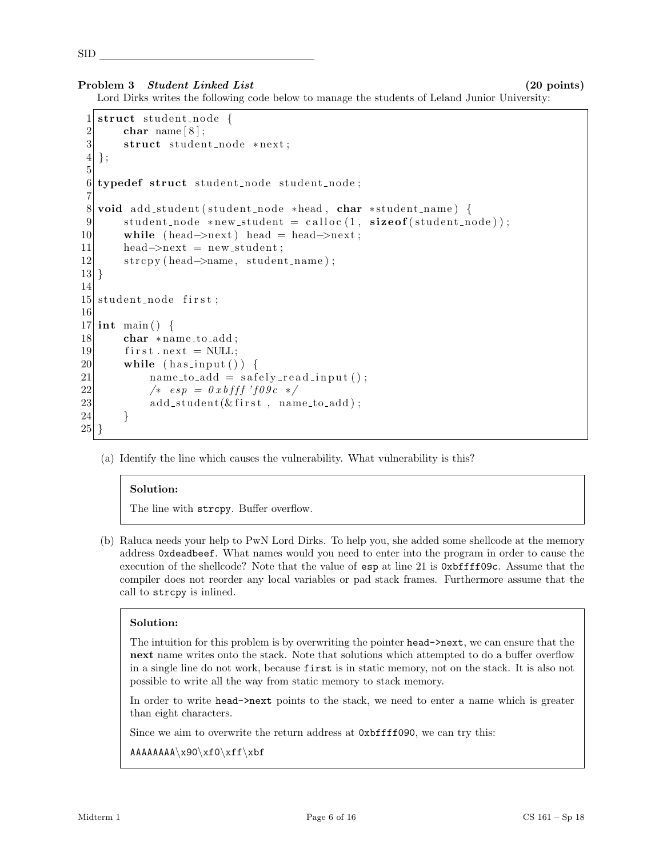### Problem 3 Student Linked List (20 points)

Lord Dirks writes the following code below to manage the students of Leland Junior University:

```
1 \times struct student node {
2 char name [8];
3 struct student_node *next;
4 | \};
5
6 typedef struct student node student node;
7
8 void add_student ( student_node *head, char *student_name) {
9 \vert student_node *new_student = calloc(1, sizeof(student_node));
10 while (head–>next) head = head–>next;
11 head\rightarrownext = new_student;
12 strcpy (head–>name, student_name);
13 }
14
15 student node first;
16
17 int main () {
18 char *name_to_add;
19 first.next = NULL;
20 while (has_input ()) {
21 name_to_add = safely_read_input ();
22 \left| \begin{array}{cc} 2 & \text{else} \end{array} \right| \left| \begin{array}{cc} 2 & \text{else} \end{array} \right|23 add_student(& first, name_to_add);
24 }
25
```
(a) Identify the line which causes the vulnerability. What vulnerability is this?

# Solution:

The line with strcpy. Buffer overflow.

(b) Raluca needs your help to PwN Lord Dirks. To help you, she added some shellcode at the memory address 0xdeadbeef. What names would you need to enter into the program in order to cause the execution of the shellcode? Note that the value of esp at line 21 is 0xbffff09c. Assume that the compiler does not reorder any local variables or pad stack frames. Furthermore assume that the call to strcpy is inlined.

# Solution:

The intuition for this problem is by overwriting the pointer head->next, we can ensure that the next name writes onto the stack. Note that solutions which attempted to do a buffer overflow in a single line do not work, because first is in static memory, not on the stack. It is also not possible to write all the way from static memory to stack memory.

In order to write head->next points to the stack, we need to enter a name which is greater than eight characters.

Since we aim to overwrite the return address at 0xbffff090, we can try this:

```
AAAAAAAA\x90\xf0\xff\xbf
```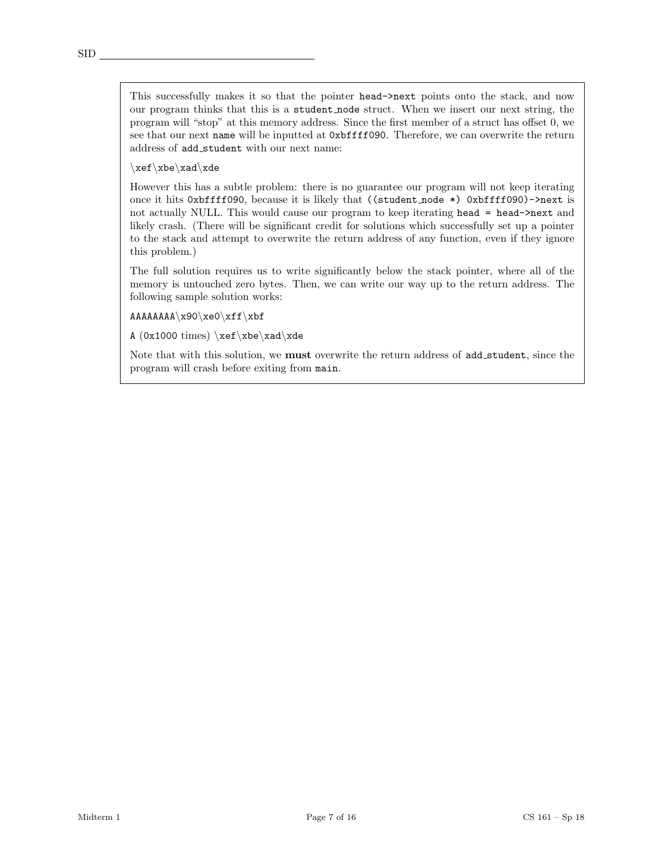This successfully makes it so that the pointer head->next points onto the stack, and now our program thinks that this is a student node struct. When we insert our next string, the program will "stop" at this memory address. Since the first member of a struct has offset 0, we see that our next name will be inputted at 0xbffff090. Therefore, we can overwrite the return address of add student with our next name:

\xef\xbe\xad\xde

However this has a subtle problem: there is no guarantee our program will not keep iterating once it hits 0xbffff090, because it is likely that ((student node \*) 0xbffff090)->next is not actually NULL. This would cause our program to keep iterating head = head->next and likely crash. (There will be significant credit for solutions which successfully set up a pointer to the stack and attempt to overwrite the return address of any function, even if they ignore this problem.)

The full solution requires us to write significantly below the stack pointer, where all of the memory is untouched zero bytes. Then, we can write our way up to the return address. The following sample solution works:

AAAAAAAA\x90\xe0\xff\xbf

A  $(0x1000 times) \xeftrightarrow xde$ 

Note that with this solution, we **must** overwrite the return address of add\_student, since the program will crash before exiting from main.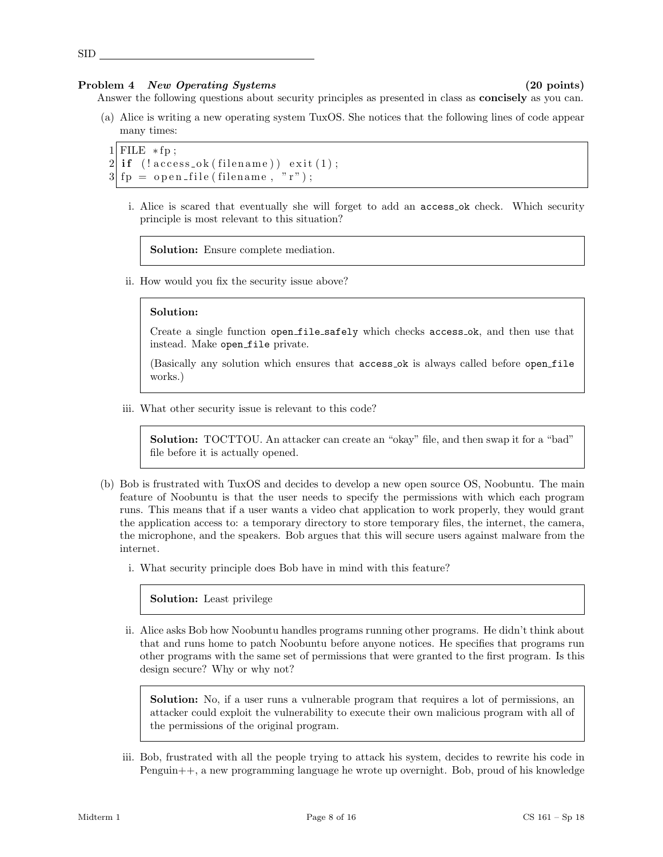### Problem 4 New Operating Systems (20 points)

SID

Answer the following questions about security principles as presented in class as **concisely** as you can.

(a) Alice is writing a new operating system TuxOS. She notices that the following lines of code appear many times:

```
1 FILE *fp:
2 \mid \text{if} \mid (\text{lecases}\_\text{ok}(\text{filename})) \text{ exit}(1);3 \vert f_p = \text{open_file}(\text{filename}, "r");
```
i. Alice is scared that eventually she will forget to add an access ok check. Which security principle is most relevant to this situation?

Solution: Ensure complete mediation.

ii. How would you fix the security issue above?

### Solution:

Create a single function open file safely which checks access ok, and then use that instead. Make open\_file private.

(Basically any solution which ensures that access ok is always called before open file works.)

iii. What other security issue is relevant to this code?

Solution: TOCTTOU. An attacker can create an "okay" file, and then swap it for a "bad" file before it is actually opened.

- (b) Bob is frustrated with TuxOS and decides to develop a new open source OS, Noobuntu. The main feature of Noobuntu is that the user needs to specify the permissions with which each program runs. This means that if a user wants a video chat application to work properly, they would grant the application access to: a temporary directory to store temporary files, the internet, the camera, the microphone, and the speakers. Bob argues that this will secure users against malware from the internet.
	- i. What security principle does Bob have in mind with this feature?

Solution: Least privilege

ii. Alice asks Bob how Noobuntu handles programs running other programs. He didn't think about that and runs home to patch Noobuntu before anyone notices. He specifies that programs run other programs with the same set of permissions that were granted to the first program. Is this design secure? Why or why not?

Solution: No, if a user runs a vulnerable program that requires a lot of permissions, an attacker could exploit the vulnerability to execute their own malicious program with all of the permissions of the original program.

iii. Bob, frustrated with all the people trying to attack his system, decides to rewrite his code in Penguin++, a new programming language he wrote up overnight. Bob, proud of his knowledge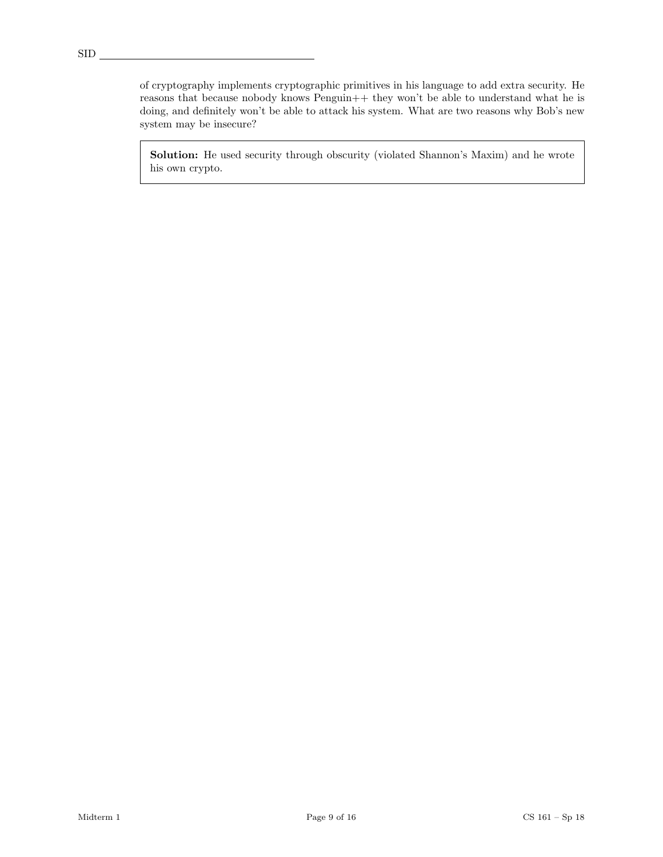of cryptography implements cryptographic primitives in his language to add extra security. He reasons that because nobody knows Penguin++ they won't be able to understand what he is doing, and definitely won't be able to attack his system. What are two reasons why Bob's new system may be insecure?

Solution: He used security through obscurity (violated Shannon's Maxim) and he wrote his own crypto.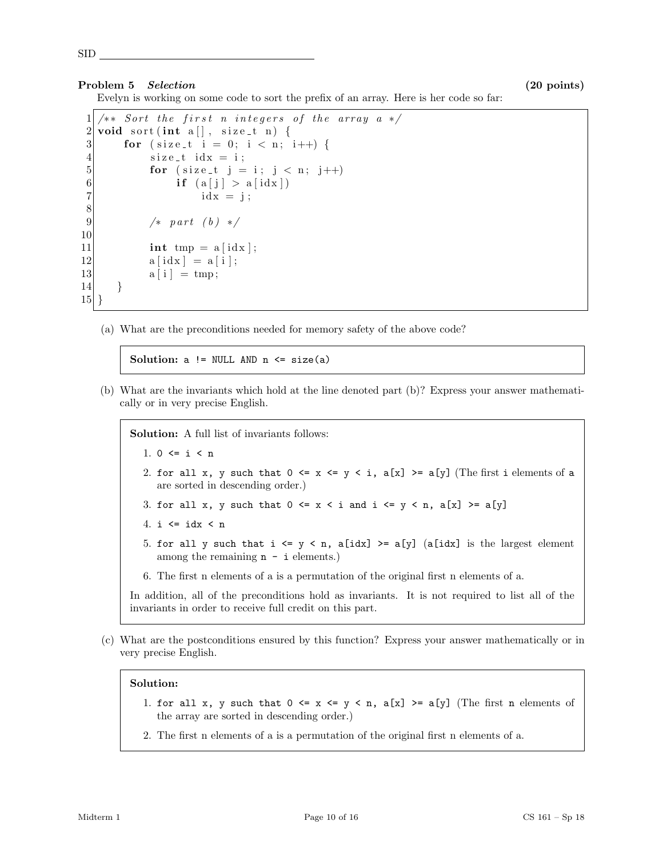### Problem 5 Selection (20 points)

Evelyn is working on some code to sort the prefix of an array. Here is her code so far:

```
1 \times * Sort the first n integers of the array a */2 void sort (int a[], size_t n) {
3 for (size_t i = 0; i < n; i++) {
4 size_t idx = i;
5 for (size_t j = i; j < n; j++)6 if (a[j] > a[idx])7 id x = j;
8
9 /* part (b) */10
11 int tmp = a \mid idx \mid;
12 a [idx] = a [i];
|13| a [i] = tmp;
14 }
15 }
```
(a) What are the preconditions needed for memory safety of the above code?

Solution:  $a$  != NULL AND  $n \leq size(a)$ 

(b) What are the invariants which hold at the line denoted part (b)? Express your answer mathematically or in very precise English.

Solution: A full list of invariants follows:

- 1.  $0 \le i \le n$
- 2. for all x, y such that  $0 \le x \le y \le i$ ,  $a[x] \ge a[y]$  (The first i elements of a are sorted in descending order.)
- 3. for all x, y such that  $0 \le x \le i$  and  $i \le y \le n$ ,  $a[x] \ge a[y]$
- 4. i  $\leq$  idx  $\leq$  n
- 5. for all y such that  $i \le y \le n$ , a[idx] >= a[y] (a[idx] is the largest element among the remaining  $n - i$  elements.)
- 6. The first n elements of a is a permutation of the original first n elements of a.

In addition, all of the preconditions hold as invariants. It is not required to list all of the invariants in order to receive full credit on this part.

(c) What are the postconditions ensured by this function? Express your answer mathematically or in very precise English.

### Solution:

- 1. for all x, y such that  $0 \le x \le y \le n$ ,  $a[x] \ge a[y]$  (The first n elements of the array are sorted in descending order.)
- 2. The first n elements of a is a permutation of the original first n elements of a.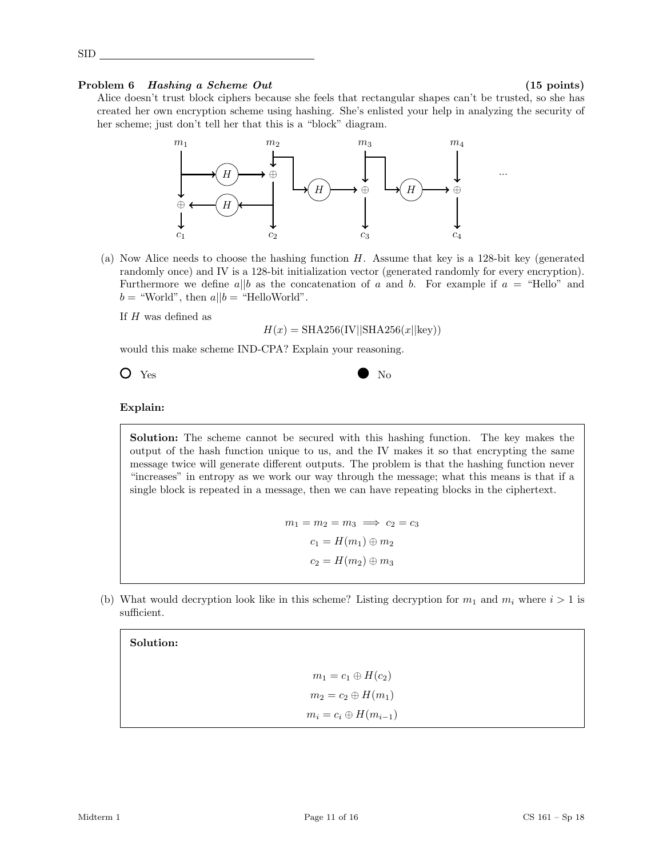# Problem 6 Hashing a Scheme Out (15 points)

SID

Alice doesn't trust block ciphers because she feels that rectangular shapes can't be trusted, so she has created her own encryption scheme using hashing. She's enlisted your help in analyzing the security of her scheme; just don't tell her that this is a "block" diagram.



(a) Now Alice needs to choose the hashing function H. Assume that key is a 128-bit key (generated randomly once) and IV is a 128-bit initialization vector (generated randomly for every encryption). Furthermore we define a||b as the concatenation of a and b. For example if  $a =$  "Hello" and  $b =$  "World", then  $a||b =$  "HelloWorld".

If  $H$  was defined as

$$
H(x) = \text{SHA256}(\text{IV}||\text{SHA256}(x||\text{key}))
$$

would this make scheme IND-CPA? Explain your reasoning.



# Explain:

Solution: The scheme cannot be secured with this hashing function. The key makes the output of the hash function unique to us, and the IV makes it so that encrypting the same message twice will generate different outputs. The problem is that the hashing function never "increases" in entropy as we work our way through the message; what this means is that if a single block is repeated in a message, then we can have repeating blocks in the ciphertext.

> $m_1 = m_2 = m_3 \implies c_2 = c_3$  $c_1 = H(m_1) \oplus m_2$  $c_2 = H(m_2) \oplus m_3$

(b) What would decryption look like in this scheme? Listing decryption for  $m_1$  and  $m_i$  where  $i > 1$  is sufficient.

Solution:

 $m_1 = c_1 \oplus H(c_2)$  $m_2 = c_2 \oplus H(m_1)$  $m_i = c_i \oplus H(m_{i-1})$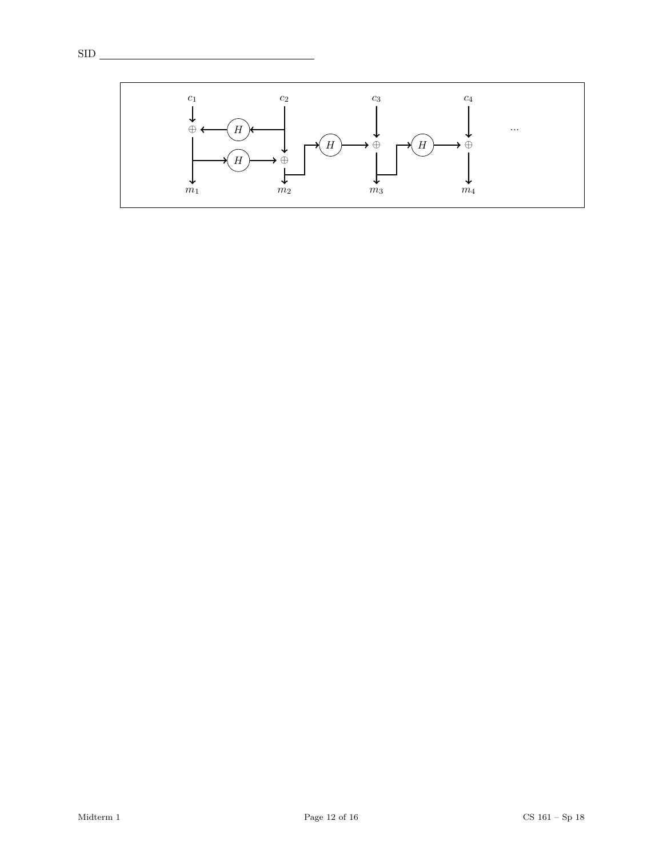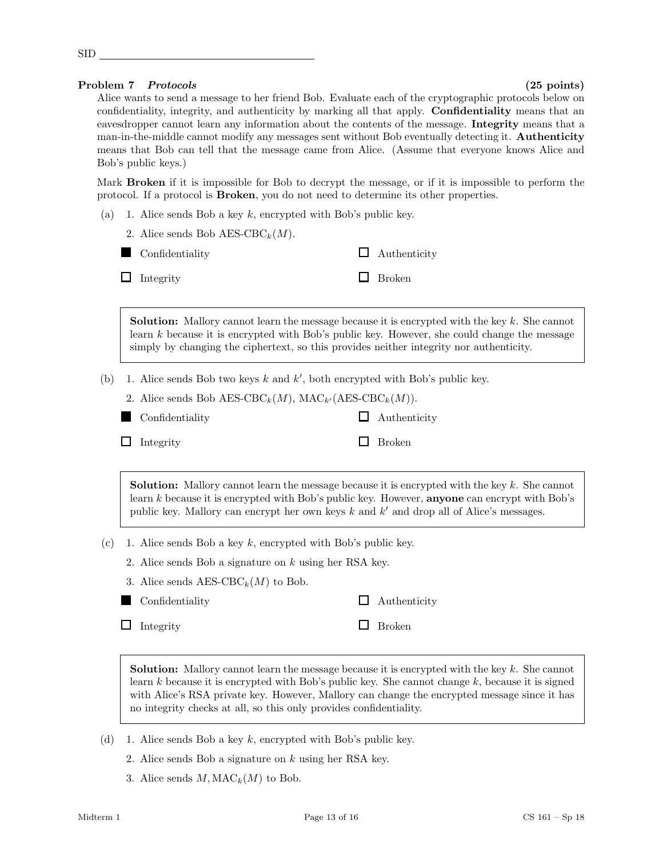| $-$ |  |
|-----|--|
|     |  |

# Problem 7 Protocols (25 points)

Alice wants to send a message to her friend Bob. Evaluate each of the cryptographic protocols below on confidentiality, integrity, and authenticity by marking all that apply. **Confidentiality** means that an eavesdropper cannot learn any information about the contents of the message. Integrity means that a man-in-the-middle cannot modify any messages sent without Bob eventually detecting it. **Authenticity** means that Bob can tell that the message came from Alice. (Assume that everyone knows Alice and Bob's public keys.)

Mark **Broken** if it is impossible for Bob to decrypt the message, or if it is impossible to perform the protocol. If a protocol is Broken, you do not need to determine its other properties.

(a) 1. Alice sends Bob a key  $k$ , encrypted with Bob's public key.

| 2. Alice sends Bob AES-CBC <sub>k</sub> $(M)$ . |                     |
|-------------------------------------------------|---------------------|
| Confidentiality                                 | $\Box$ Authenticity |
| $\Box$ Integrity                                | $\Box$ Broken       |

**Solution:** Mallory cannot learn the message because it is encrypted with the key  $k$ . She cannot learn  $k$  because it is encrypted with Bob's public key. However, she could change the message simply by changing the ciphertext, so this provides neither integrity nor authenticity.

(b) 1. Alice sends Bob two keys  $k$  and  $k'$ , both encrypted with Bob's public key.

|  | 2. Alice sends Bob AES-CBC <sub>k</sub> (M), MAC <sub>k'</sub> (AES-CBC <sub>k</sub> (M)). |
|--|--------------------------------------------------------------------------------------------|
|--|--------------------------------------------------------------------------------------------|

**Confidentiality** 

| Integrity |  |
|-----------|--|
|-----------|--|

| $\Box$ Authenticity |
|---------------------|
| $\Box$ Broken       |

**Solution:** Mallory cannot learn the message because it is encrypted with the key  $k$ . She cannot learn  $k$  because it is encrypted with Bob's public key. However, **anyone** can encrypt with Bob's public key. Mallory can encrypt her own keys  $k$  and  $k'$  and drop all of Alice's messages.

- (c) 1. Alice sends Bob a key k, encrypted with Bob's public key.
	- 2. Alice sends Bob a signature on k using her RSA key.
	- 3. Alice sends  $\text{AES-CBC}_k(M)$  to Bob.
	- **Confidentiality**  $\Box$  Authenticity
	- $\Box$  Integrity

| 770011010101  |
|---------------|
| <b>Broken</b> |

**Solution:** Mallory cannot learn the message because it is encrypted with the key  $k$ . She cannot learn k because it is encrypted with Bob's public key. She cannot change  $k$ , because it is signed with Alice's RSA private key. However, Mallory can change the encrypted message since it has no integrity checks at all, so this only provides confidentiality.

- (d) 1. Alice sends Bob a key k, encrypted with Bob's public key.
	- 2. Alice sends Bob a signature on k using her RSA key.
	- 3. Alice sends  $M, \text{MAC}_k(M)$  to Bob.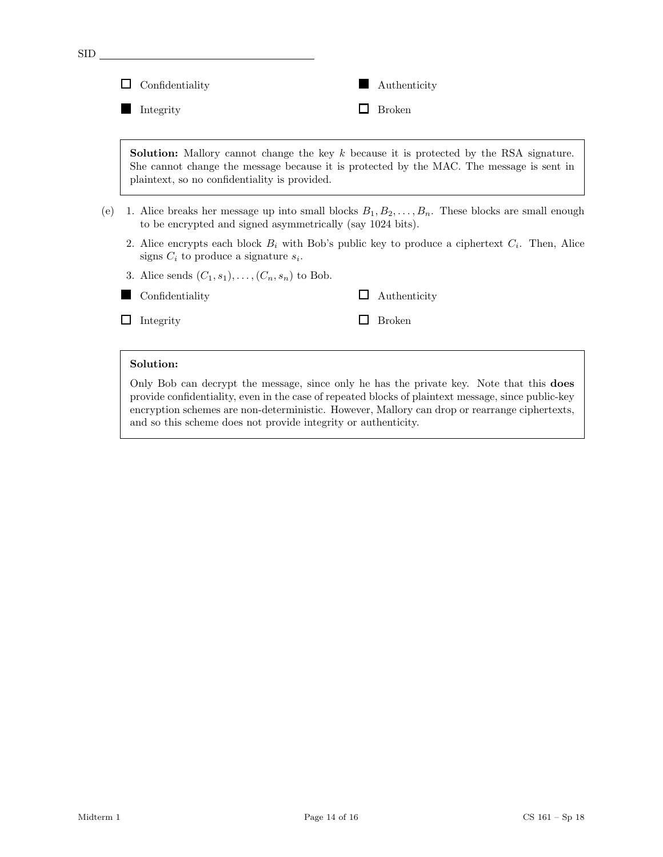| <b>SID</b> |                                                            |                                                                                                                                                                                              |
|------------|------------------------------------------------------------|----------------------------------------------------------------------------------------------------------------------------------------------------------------------------------------------|
|            | Confidentiality                                            | Authenticity                                                                                                                                                                                 |
|            | Integrity                                                  | <b>Broken</b>                                                                                                                                                                                |
|            | plaintext, so no confidentiality is provided.              | <b>Solution:</b> Mallory cannot change the key $k$ because it is protected by the RSA signature.<br>She cannot change the message because it is protected by the MAC. The message is sent in |
| (e)        | to be encrypted and signed asymmetrically (say 1024 bits). | 1. Alice breaks her message up into small blocks $B_1, B_2, \ldots, B_n$ . These blocks are small enough                                                                                     |
|            | signs $C_i$ to produce a signature $s_i$ .                 | 2. Alice encrypts each block $B_i$ with Bob's public key to produce a ciphertext $C_i$ . Then, Alice                                                                                         |
|            | 3. Alice sends $(C_1, s_1), \ldots, (C_n, s_n)$ to Bob.    |                                                                                                                                                                                              |
|            | Confidentiality                                            | Authenticity<br>$\sim$                                                                                                                                                                       |
|            | Integrity                                                  | <b>Broken</b>                                                                                                                                                                                |
|            |                                                            |                                                                                                                                                                                              |
|            | Solution:                                                  | Only Bob can decrypt the message, since only he has the private key. Note that this does                                                                                                     |

provide confidentiality, even in the case of repeated blocks of plaintext message, since public-key encryption schemes are non-deterministic. However, Mallory can drop or rearrange ciphertexts, and so this scheme does not provide integrity or authenticity.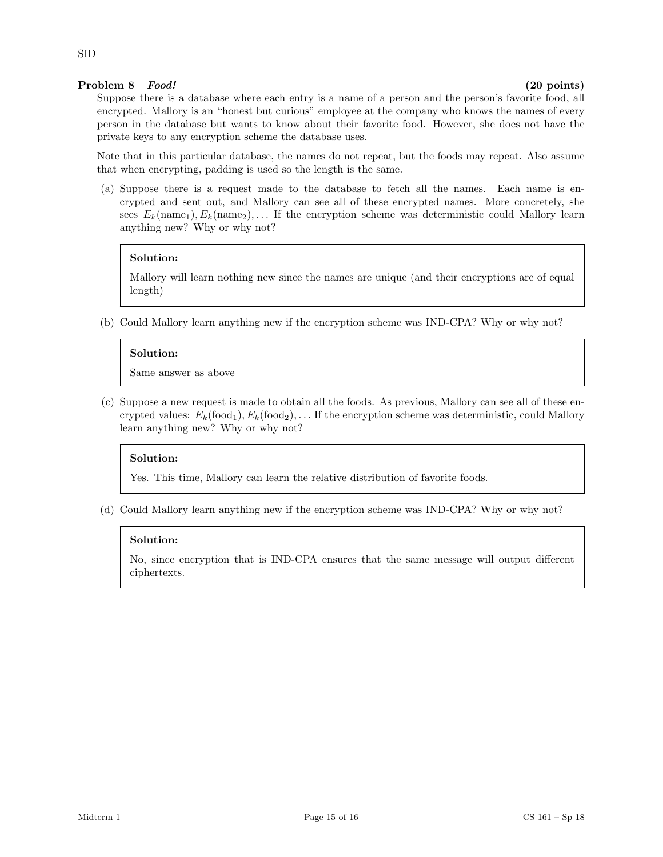# Problem 8 Food! (20 points)

SID

Suppose there is a database where each entry is a name of a person and the person's favorite food, all encrypted. Mallory is an "honest but curious" employee at the company who knows the names of every person in the database but wants to know about their favorite food. However, she does not have the private keys to any encryption scheme the database uses.

Note that in this particular database, the names do not repeat, but the foods may repeat. Also assume that when encrypting, padding is used so the length is the same.

(a) Suppose there is a request made to the database to fetch all the names. Each name is encrypted and sent out, and Mallory can see all of these encrypted names. More concretely, she sees  $E_k(\text{name}_1), E_k(\text{name}_2), \dots$  If the encryption scheme was deterministic could Mallory learn anything new? Why or why not?

### Solution:

Mallory will learn nothing new since the names are unique (and their encryptions are of equal length)

(b) Could Mallory learn anything new if the encryption scheme was IND-CPA? Why or why not?

### Solution:

Same answer as above

(c) Suppose a new request is made to obtain all the foods. As previous, Mallory can see all of these encrypted values:  $E_k(\text{food}_1), E_k(\text{food}_2), \ldots$  If the encryption scheme was deterministic, could Mallory learn anything new? Why or why not?

### Solution:

Yes. This time, Mallory can learn the relative distribution of favorite foods.

(d) Could Mallory learn anything new if the encryption scheme was IND-CPA? Why or why not?

### Solution:

No, since encryption that is IND-CPA ensures that the same message will output different ciphertexts.